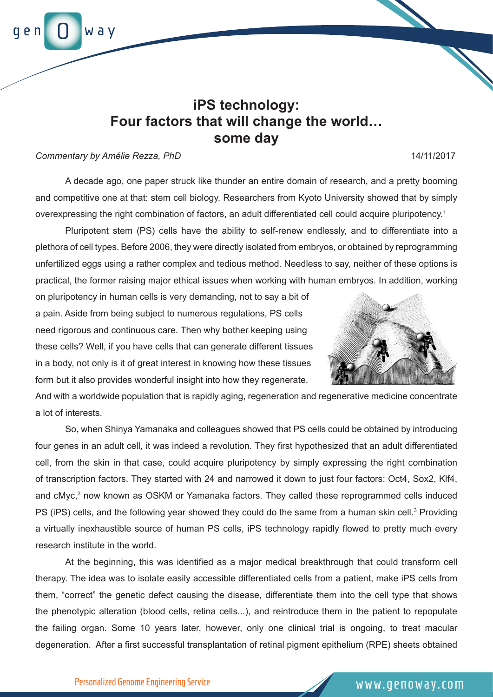## **iPS technology: Four factors that will change the world… some day**

## *Commentary by Amélie Rezza, PhD* 14/11/2017

A decade ago, one paper struck like thunder an entire domain of research, and a pretty booming and competitive one at that: stem cell biology. Researchers from Kyoto University showed that by simply overexpressing the right combination of factors, an adult differentiated cell could acquire pluripotency.1

Pluripotent stem (PS) cells have the ability to self-renew endlessly, and to differentiate into a plethora of cell types. Before 2006, they were directly isolated from embryos, or obtained by reprogramming unfertilized eggs using a rather complex and tedious method. Needless to say, neither of these options is practical, the former raising major ethical issues when working with human embryos. In addition, working

on pluripotency in human cells is very demanding, not to say a bit of a pain. Aside from being subject to numerous regulations, PS cells need rigorous and continuous care. Then why bother keeping using these cells? Well, if you have cells that can generate different tissues in a body, not only is it of great interest in knowing how these tissues form but it also provides wonderful insight into how they regenerate.

And with a worldwide population that is rapidly aging, regeneration and regenerative medicine concentrate a lot of interests.

So, when Shinya Yamanaka and colleagues showed that PS cells could be obtained by introducing four genes in an adult cell, it was indeed a revolution. They first hypothesized that an adult differentiated cell, from the skin in that case, could acquire pluripotency by simply expressing the right combination of transcription factors. They started with 24 and narrowed it down to just four factors: Oct4, Sox2, Klf4, and cMyc,<sup>2</sup> now known as OSKM or Yamanaka factors. They called these reprogrammed cells induced PS (iPS) cells, and the following year showed they could do the same from a human skin cell.<sup>3</sup> Providing a virtually inexhaustible source of human PS cells, iPS technology rapidly flowed to pretty much every research institute in the world.

At the beginning, this was identified as a major medical breakthrough that could transform cell therapy. The idea was to isolate easily accessible differentiated cells from a patient, make iPS cells from them, "correct" the genetic defect causing the disease, differentiate them into the cell type that shows the phenotypic alteration (blood cells, retina cells...), and reintroduce them in the patient to repopulate the failing organ. Some 10 years later, however, only one clinical trial is ongoing, to treat macular degeneration. After a first successful transplantation of retinal pigment epithelium (RPE) sheets obtained